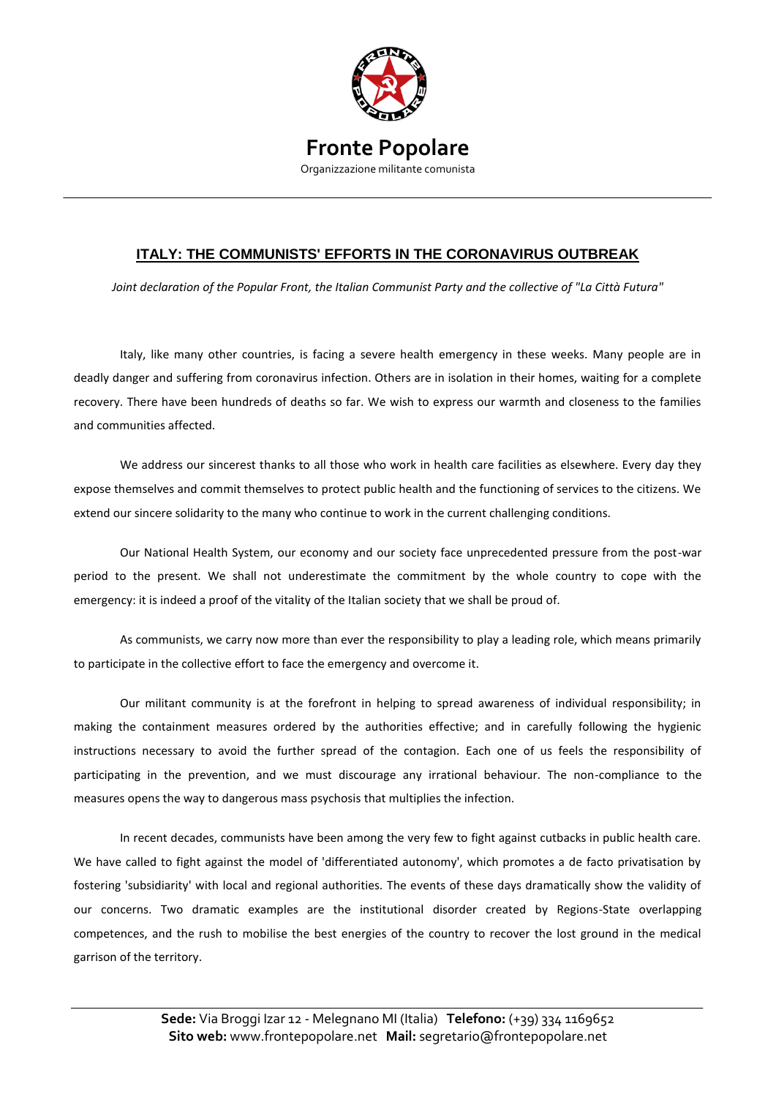

## **Fronte Popolare** Organizzazione militante comunista

## **ITALY: THE COMMUNISTS' EFFORTS IN THE CORONAVIRUS OUTBREAK**

*Joint declaration of the Popular Front, the Italian Communist Party and the collective of "La Città Futura"*

Italy, like many other countries, is facing a severe health emergency in these weeks. Many people are in deadly danger and suffering from coronavirus infection. Others are in isolation in their homes, waiting for a complete recovery. There have been hundreds of deaths so far. We wish to express our warmth and closeness to the families and communities affected.

We address our sincerest thanks to all those who work in health care facilities as elsewhere. Every day they expose themselves and commit themselves to protect public health and the functioning of services to the citizens. We extend our sincere solidarity to the many who continue to work in the current challenging conditions.

Our National Health System, our economy and our society face unprecedented pressure from the post-war period to the present. We shall not underestimate the commitment by the whole country to cope with the emergency: it is indeed a proof of the vitality of the Italian society that we shall be proud of.

As communists, we carry now more than ever the responsibility to play a leading role, which means primarily to participate in the collective effort to face the emergency and overcome it.

Our militant community is at the forefront in helping to spread awareness of individual responsibility; in making the containment measures ordered by the authorities effective; and in carefully following the hygienic instructions necessary to avoid the further spread of the contagion. Each one of us feels the responsibility of participating in the prevention, and we must discourage any irrational behaviour. The non-compliance to the measures opens the way to dangerous mass psychosis that multiplies the infection.

In recent decades, communists have been among the very few to fight against cutbacks in public health care. We have called to fight against the model of 'differentiated autonomy', which promotes a de facto privatisation by fostering 'subsidiarity' with local and regional authorities. The events of these days dramatically show the validity of our concerns. Two dramatic examples are the institutional disorder created by Regions-State overlapping competences, and the rush to mobilise the best energies of the country to recover the lost ground in the medical garrison of the territory.